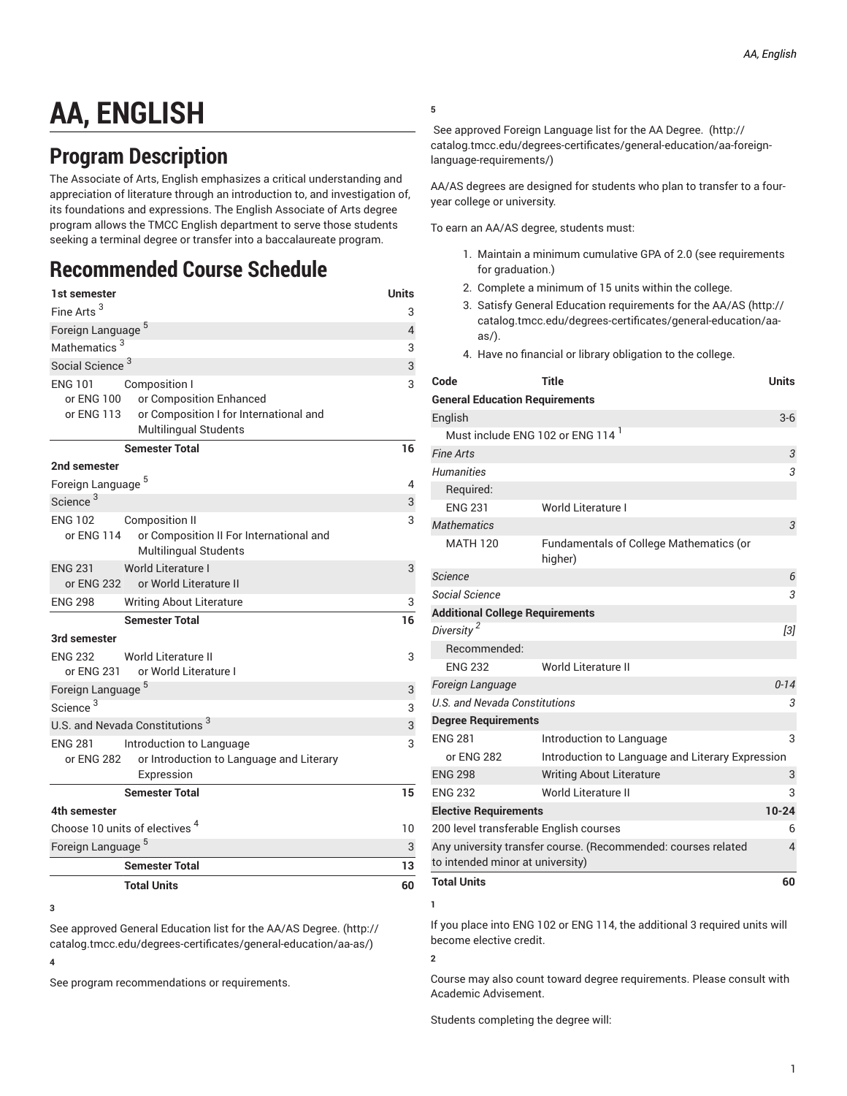## **AA, ENGLISH**

## **Program Description**

The Associate of Arts, English emphasizes a critical understanding and appreciation of literature through an introduction to, and investigation of, its foundations and expressions. The English Associate of Arts degree program allows the TMCC English department to serve those students seeking a terminal degree or transfer into a baccalaureate program.

## **Recommended Course Schedule**

| 1st semester                               |                                                                 | Units |
|--------------------------------------------|-----------------------------------------------------------------|-------|
| Fine Arts <sup>3</sup>                     |                                                                 | 3     |
| Foreign Language <sup>5</sup>              |                                                                 |       |
| Mathematics <sup>3</sup>                   |                                                                 |       |
| Social Science <sup>3</sup>                |                                                                 |       |
| <b>ENG 101</b>                             | Composition I                                                   | 3     |
| or ENG 100                                 | or Composition Enhanced                                         |       |
| or ENG 113                                 | or Composition I for International and<br>Multilingual Students |       |
|                                            | <b>Semester Total</b>                                           | 16    |
| 2nd semester                               |                                                                 |       |
| Foreign Language <sup>5</sup>              |                                                                 | 4     |
| Science <sup>3</sup>                       |                                                                 | 3     |
| <b>ENG 102</b>                             | <b>Composition II</b>                                           | 3     |
| or ENG 114                                 | or Composition II For International and                         |       |
|                                            | <b>Multilingual Students</b>                                    |       |
| <b>ENG 231</b>                             | World Literature I                                              | 3     |
| or ENG 232                                 | or World Literature II                                          |       |
| <b>ENG 298</b>                             | <b>Writing About Literature</b>                                 | 3     |
|                                            | <b>Semester Total</b>                                           | 16    |
| 3rd semester                               |                                                                 |       |
| <b>ENG 232</b>                             | World Literature II                                             | 3     |
| or ENG 231                                 | or World Literature I                                           |       |
| Foreign Language <sup>5</sup>              |                                                                 | 3     |
| Science <sup>3</sup>                       |                                                                 | 3     |
| U.S. and Nevada Constitutions <sup>3</sup> |                                                                 | 3     |
| <b>ENG 281</b>                             | Introduction to Language                                        | 3     |
| or ENG 282                                 | or Introduction to Language and Literary<br>Expression          |       |
|                                            | <b>Semester Total</b>                                           | 15    |
| 4th semester                               |                                                                 |       |
| Choose 10 units of electives <sup>4</sup>  |                                                                 | 10    |
| Foreign Language <sup>5</sup>              |                                                                 | 3     |
|                                            | <b>Semester Total</b>                                           | 13    |
|                                            | <b>Total Units</b>                                              | 60    |
|                                            |                                                                 |       |

**<sup>3</sup>**

See approved General [Education](http://catalog.tmcc.edu/degrees-certificates/general-education/aa-as/) list for the AA/AS Degree. ([http://](http://catalog.tmcc.edu/degrees-certificates/general-education/aa-as/) [catalog.tmcc.edu/degrees-certificates/general-education/aa-as/](http://catalog.tmcc.edu/degrees-certificates/general-education/aa-as/)) **4**

See program recommendations or requirements.

**5**

See approved Foreign [Language](http://catalog.tmcc.edu/degrees-certificates/general-education/aa-foreign-language-requirements/) list for the AA Degree. [\(http://](http://catalog.tmcc.edu/degrees-certificates/general-education/aa-foreign-language-requirements/) [catalog.tmcc.edu/degrees-certificates/general-education/aa-foreign](http://catalog.tmcc.edu/degrees-certificates/general-education/aa-foreign-language-requirements/)[language-requirements/\)](http://catalog.tmcc.edu/degrees-certificates/general-education/aa-foreign-language-requirements/)

AA/AS degrees are designed for students who plan to transfer to a fouryear college or university.

To earn an AA/AS degree, students must:

- 1. Maintain a minimum cumulative GPA of 2.0 (see requirements for graduation.)
- 2. Complete a minimum of 15 units within the college.
- 3. Satisfy General Education [requirements](http://catalog.tmcc.edu/degrees-certificates/general-education/aa-as/) for the AA/AS ([http://](http://catalog.tmcc.edu/degrees-certificates/general-education/aa-as/) [catalog.tmcc.edu/degrees-certificates/general-education/aa](http://catalog.tmcc.edu/degrees-certificates/general-education/aa-as/)[as/](http://catalog.tmcc.edu/degrees-certificates/general-education/aa-as/)).
- 4. Have no financial or library obligation to the college.

| Code                                                          | <b>Title</b>                                              | <b>Units</b> |  |
|---------------------------------------------------------------|-----------------------------------------------------------|--------------|--|
| <b>General Education Requirements</b>                         |                                                           |              |  |
| English                                                       |                                                           | $3-6$        |  |
| Must include ENG 102 or ENG 114 <sup>1</sup>                  |                                                           |              |  |
| <b>Fine Arts</b>                                              |                                                           | 3            |  |
| <b>Humanities</b>                                             |                                                           | 3            |  |
| Required:                                                     |                                                           |              |  |
| <b>ENG 231</b>                                                | World Literature I                                        |              |  |
| <b>Mathematics</b>                                            |                                                           | 3            |  |
| <b>MATH 120</b>                                               | <b>Fundamentals of College Mathematics (or</b><br>higher) |              |  |
| <b>Science</b>                                                |                                                           | 6            |  |
| Social Science                                                |                                                           | 3            |  |
| <b>Additional College Requirements</b>                        |                                                           |              |  |
| Diversity <sup>2</sup>                                        |                                                           | [3]          |  |
| Recommended:                                                  |                                                           |              |  |
| <b>ENG 232</b>                                                | World Literature II                                       |              |  |
| Foreign Language                                              |                                                           | $0 - 14$     |  |
| U.S. and Nevada Constitutions<br>3                            |                                                           |              |  |
| <b>Degree Requirements</b>                                    |                                                           |              |  |
| <b>ENG 281</b>                                                | Introduction to Language                                  | 3            |  |
| or ENG 282                                                    | Introduction to Language and Literary Expression          |              |  |
| <b>ENG 298</b>                                                | <b>Writing About Literature</b>                           | 3            |  |
| <b>ENG 232</b>                                                | World Literature II                                       | 3            |  |
| $10 - 24$<br><b>Elective Requirements</b>                     |                                                           |              |  |
| 200 level transferable English courses                        |                                                           | 6            |  |
| Any university transfer course. (Recommended: courses related |                                                           |              |  |
| to intended minor at university)                              |                                                           |              |  |
| <b>Total Units</b>                                            |                                                           | 60           |  |

If you place into ENG 102 or ENG 114, the additional 3 required units will become elective credit.

**2**

**1**

Course may also count toward degree requirements. Please consult with Academic Advisement.

Students completing the degree will: